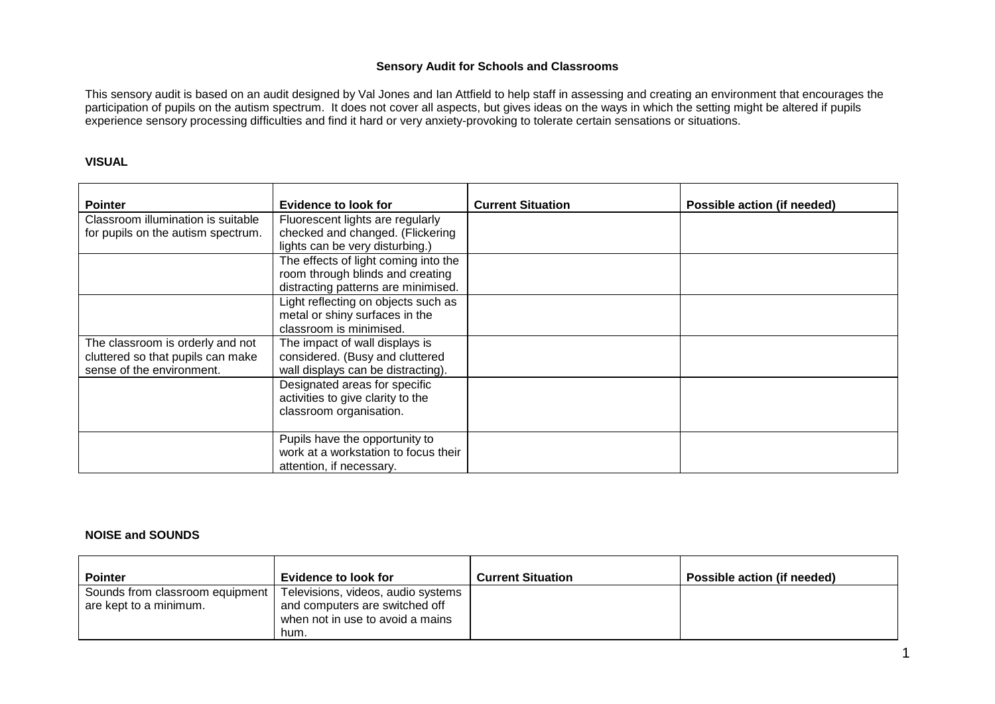### **Sensory Audit for Schools and Classrooms**

This sensory audit is based on an audit designed by Val Jones and Ian Attfield to help staff in assessing and creating an environment that encourages the participation of pupils on the autism spectrum. It does not cover all aspects, but gives ideas on the ways in which the setting might be altered if pupils experience sensory processing difficulties and find it hard or very anxiety-provoking to tolerate certain sensations or situations.

#### **VISUAL**

| <b>Pointer</b>                     | Evidence to look for                 | <b>Current Situation</b> | Possible action (if needed) |
|------------------------------------|--------------------------------------|--------------------------|-----------------------------|
| Classroom illumination is suitable | Fluorescent lights are regularly     |                          |                             |
| for pupils on the autism spectrum. | checked and changed. (Flickering     |                          |                             |
|                                    | lights can be very disturbing.)      |                          |                             |
|                                    | The effects of light coming into the |                          |                             |
|                                    | room through blinds and creating     |                          |                             |
|                                    | distracting patterns are minimised.  |                          |                             |
|                                    | Light reflecting on objects such as  |                          |                             |
|                                    | metal or shiny surfaces in the       |                          |                             |
|                                    | classroom is minimised.              |                          |                             |
| The classroom is orderly and not   | The impact of wall displays is       |                          |                             |
| cluttered so that pupils can make  | considered. (Busy and cluttered      |                          |                             |
| sense of the environment.          | wall displays can be distracting).   |                          |                             |
|                                    | Designated areas for specific        |                          |                             |
|                                    | activities to give clarity to the    |                          |                             |
|                                    | classroom organisation.              |                          |                             |
|                                    | Pupils have the opportunity to       |                          |                             |
|                                    | work at a workstation to focus their |                          |                             |
|                                    | attention, if necessary.             |                          |                             |

### **NOISE and SOUNDS**

| <b>Pointer</b>                  | <b>Evidence to look for</b>        | <b>Current Situation</b> | Possible action (if needed) |
|---------------------------------|------------------------------------|--------------------------|-----------------------------|
| Sounds from classroom equipment | Televisions, videos, audio systems |                          |                             |
| are kept to a minimum.          | and computers are switched off     |                          |                             |
|                                 | when not in use to avoid a mains   |                          |                             |
|                                 | hum.                               |                          |                             |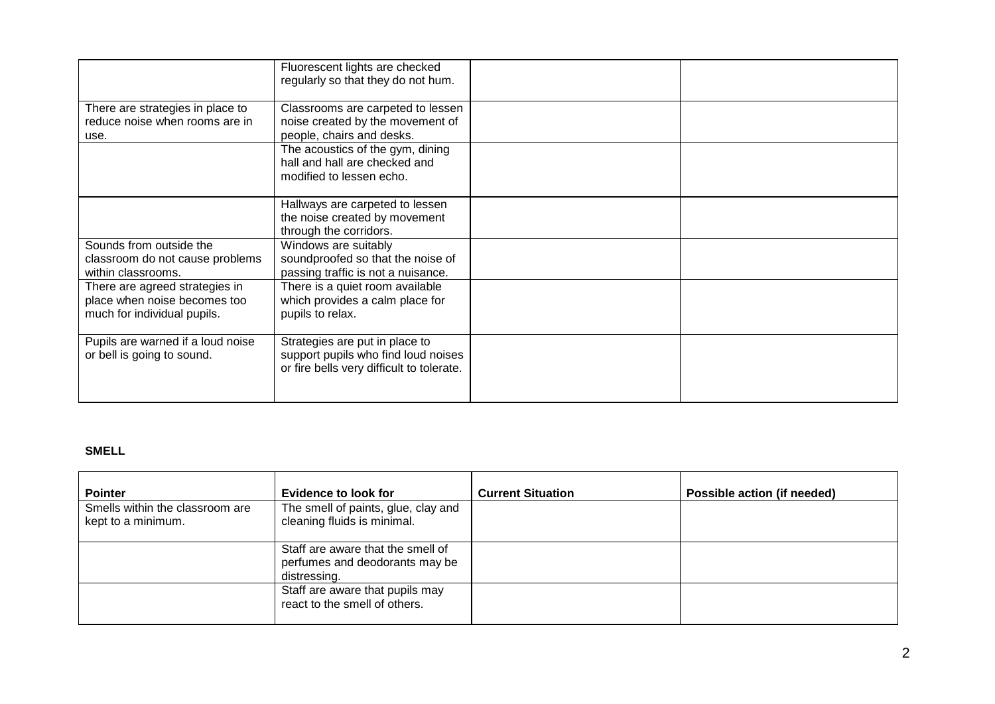|                                                                                               | Fluorescent lights are checked<br>regularly so that they do not hum.                                               |  |
|-----------------------------------------------------------------------------------------------|--------------------------------------------------------------------------------------------------------------------|--|
| There are strategies in place to<br>reduce noise when rooms are in<br>use.                    | Classrooms are carpeted to lessen<br>noise created by the movement of<br>people, chairs and desks.                 |  |
|                                                                                               | The acoustics of the gym, dining<br>hall and hall are checked and<br>modified to lessen echo.                      |  |
|                                                                                               | Hallways are carpeted to lessen<br>the noise created by movement<br>through the corridors.                         |  |
| Sounds from outside the<br>classroom do not cause problems<br>within classrooms.              | Windows are suitably<br>soundproofed so that the noise of<br>passing traffic is not a nuisance.                    |  |
| There are agreed strategies in<br>place when noise becomes too<br>much for individual pupils. | There is a quiet room available<br>which provides a calm place for<br>pupils to relax.                             |  |
| Pupils are warned if a loud noise<br>or bell is going to sound.                               | Strategies are put in place to<br>support pupils who find loud noises<br>or fire bells very difficult to tolerate. |  |

# **SMELL**

| <b>Pointer</b>                                        | <b>Evidence to look for</b>                                                         | <b>Current Situation</b> | Possible action (if needed) |
|-------------------------------------------------------|-------------------------------------------------------------------------------------|--------------------------|-----------------------------|
| Smells within the classroom are<br>kept to a minimum. | The smell of paints, glue, clay and<br>cleaning fluids is minimal.                  |                          |                             |
|                                                       | Staff are aware that the smell of<br>perfumes and deodorants may be<br>distressing. |                          |                             |
|                                                       | Staff are aware that pupils may<br>react to the smell of others.                    |                          |                             |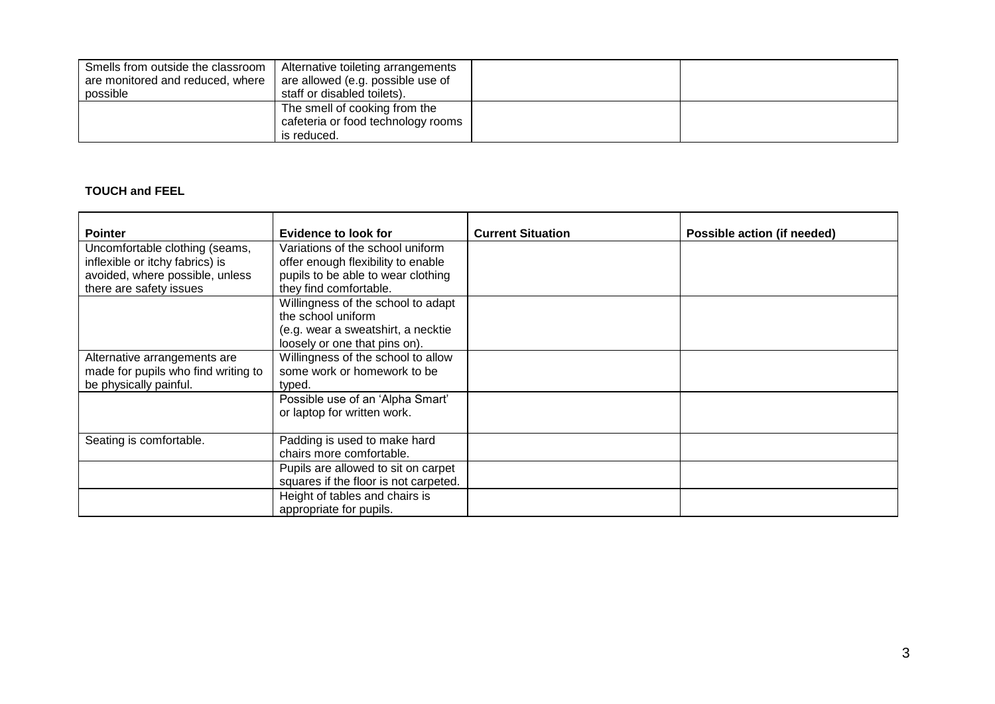| Smells from outside the classroom | Alternative toileting arrangements |  |
|-----------------------------------|------------------------------------|--|
| are monitored and reduced, where  | are allowed (e.g. possible use of  |  |
| possible                          | staff or disabled toilets).        |  |
|                                   | The smell of cooking from the      |  |
|                                   | cafeteria or food technology rooms |  |
|                                   | is reduced.                        |  |

# **TOUCH and FEEL**

| <b>Pointer</b>                      | <b>Evidence to look for</b>           | <b>Current Situation</b> | Possible action (if needed) |
|-------------------------------------|---------------------------------------|--------------------------|-----------------------------|
| Uncomfortable clothing (seams,      | Variations of the school uniform      |                          |                             |
| inflexible or itchy fabrics) is     | offer enough flexibility to enable    |                          |                             |
| avoided, where possible, unless     | pupils to be able to wear clothing    |                          |                             |
| there are safety issues             | they find comfortable.                |                          |                             |
|                                     | Willingness of the school to adapt    |                          |                             |
|                                     | the school uniform                    |                          |                             |
|                                     | (e.g. wear a sweatshirt, a necktie    |                          |                             |
|                                     | loosely or one that pins on).         |                          |                             |
| Alternative arrangements are        | Willingness of the school to allow    |                          |                             |
| made for pupils who find writing to | some work or homework to be           |                          |                             |
| be physically painful.              | typed.                                |                          |                             |
|                                     | Possible use of an 'Alpha Smart'      |                          |                             |
|                                     | or laptop for written work.           |                          |                             |
|                                     |                                       |                          |                             |
| Seating is comfortable.             | Padding is used to make hard          |                          |                             |
|                                     | chairs more comfortable.              |                          |                             |
|                                     | Pupils are allowed to sit on carpet   |                          |                             |
|                                     | squares if the floor is not carpeted. |                          |                             |
|                                     | Height of tables and chairs is        |                          |                             |
|                                     | appropriate for pupils.               |                          |                             |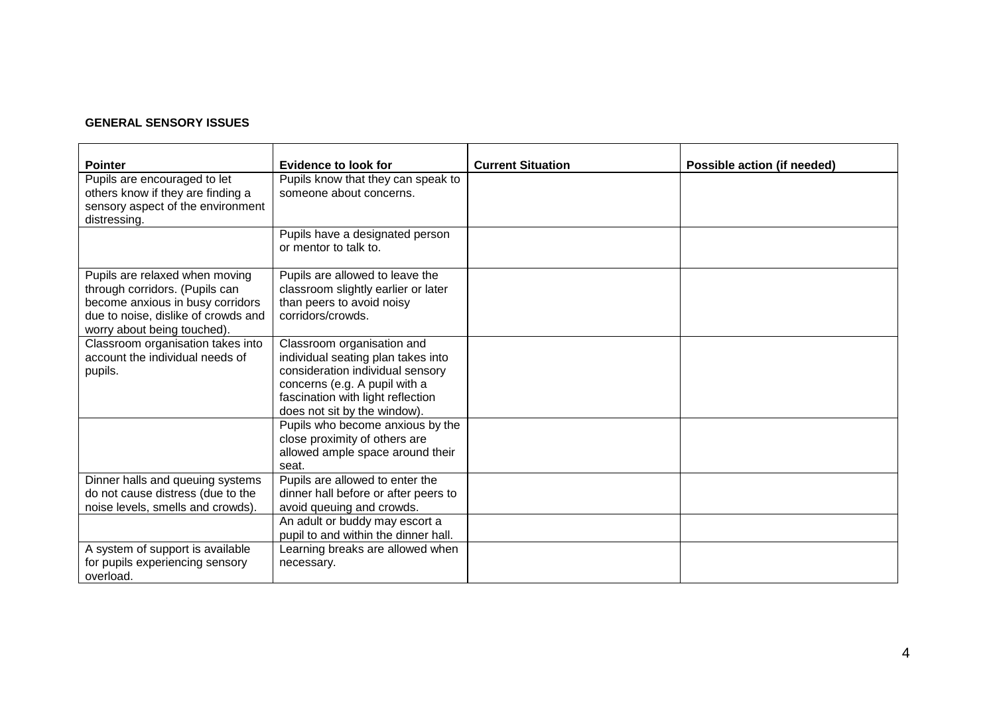# **GENERAL SENSORY ISSUES**

| <b>Pointer</b><br>Pupils are encouraged to let<br>others know if they are finding a<br>sensory aspect of the environment | <b>Evidence to look for</b><br>Pupils know that they can speak to<br>someone about concerns.                   | <b>Current Situation</b> | Possible action (if needed) |
|--------------------------------------------------------------------------------------------------------------------------|----------------------------------------------------------------------------------------------------------------|--------------------------|-----------------------------|
| distressing.                                                                                                             |                                                                                                                |                          |                             |
|                                                                                                                          | Pupils have a designated person<br>or mentor to talk to.                                                       |                          |                             |
| Pupils are relaxed when moving<br>through corridors. (Pupils can                                                         | Pupils are allowed to leave the<br>classroom slightly earlier or later                                         |                          |                             |
| become anxious in busy corridors<br>due to noise, dislike of crowds and<br>worry about being touched).                   | than peers to avoid noisy<br>corridors/crowds.                                                                 |                          |                             |
| Classroom organisation takes into                                                                                        | Classroom organisation and                                                                                     |                          |                             |
| account the individual needs of<br>pupils.                                                                               | individual seating plan takes into<br>consideration individual sensory                                         |                          |                             |
|                                                                                                                          | concerns (e.g. A pupil with a<br>fascination with light reflection<br>does not sit by the window).             |                          |                             |
|                                                                                                                          | Pupils who become anxious by the<br>close proximity of others are<br>allowed ample space around their<br>seat. |                          |                             |
| Dinner halls and queuing systems<br>do not cause distress (due to the<br>noise levels, smells and crowds).               | Pupils are allowed to enter the<br>dinner hall before or after peers to<br>avoid queuing and crowds.           |                          |                             |
|                                                                                                                          | An adult or buddy may escort a<br>pupil to and within the dinner hall.                                         |                          |                             |
| A system of support is available<br>for pupils experiencing sensory<br>overload.                                         | Learning breaks are allowed when<br>necessary.                                                                 |                          |                             |